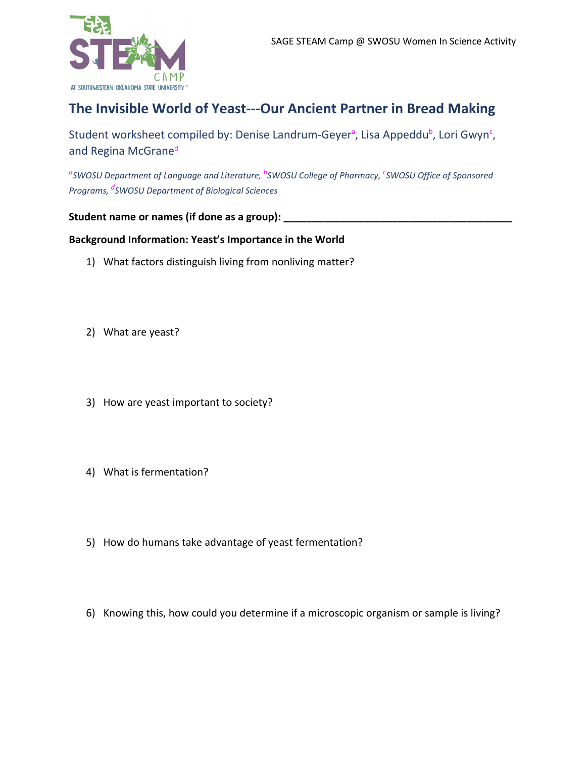

# **The Invisible World of Yeast---Our Ancient Partner in Bread Making**

Student worksheet compiled by: Denise Landrum-Geyer<sup>a</sup>, Lisa Appeddu<sup>b</sup>, Lori Gwyn<sup>c</sup>, and Regina McGrane<sup>d</sup>

*<sup>a</sup>SWOSU Department of Language and Literature, <sup>b</sup>SWOSU College of Pharmacy, <sup>c</sup>SWOSU Office of Sponsored Programs, <sup>d</sup>SWOSU Department of Biological Sciences*

## **Student name or names (if done as a group): \_\_\_\_\_\_\_\_\_\_\_\_\_\_\_\_\_\_\_\_\_\_\_\_\_\_\_\_\_\_\_\_\_\_\_\_\_\_\_\_**

## **Background Information: Yeast's Importance in the World**

- 1) What factors distinguish living from nonliving matter?
- 2) What are yeast?
- 3) How are yeast important to society?
- 4) What is fermentation?
- 5) How do humans take advantage of yeast fermentation?
- 6) Knowing this, how could you determine if a microscopic organism or sample is living?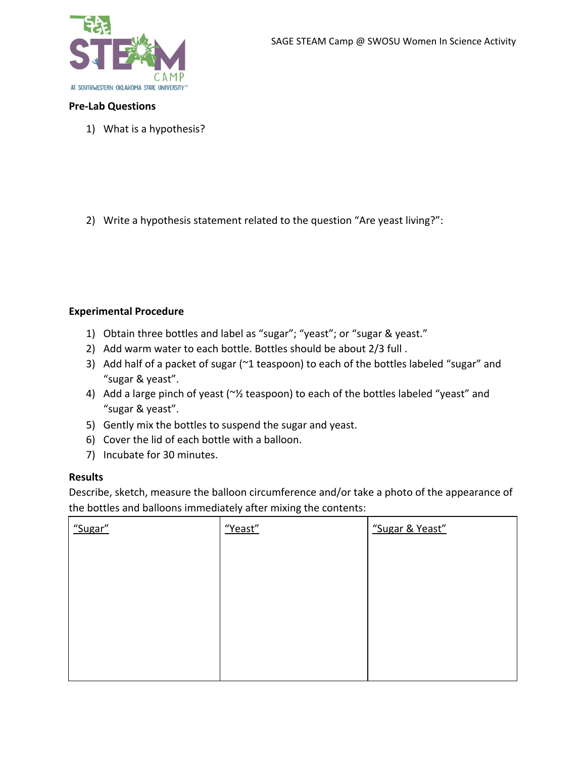

### **Pre-Lab Questions**

1) What is a hypothesis?

2) Write a hypothesis statement related to the question "Are yeast living?":

### **Experimental Procedure**

- 1) Obtain three bottles and label as "sugar"; "yeast"; or "sugar & yeast."
- 2) Add warm water to each bottle. Bottles should be about 2/3 full .
- 3) Add half of a packet of sugar (~1 teaspoon) to each of the bottles labeled "sugar" and "sugar & yeast".
- 4) Add a large pinch of yeast (~½ teaspoon) to each of the bottles labeled "yeast" and "sugar & yeast".
- 5) Gently mix the bottles to suspend the sugar and yeast.
- 6) Cover the lid of each bottle with a balloon.
- 7) Incubate for 30 minutes.

#### **Results**

Describe, sketch, measure the balloon circumference and/or take a photo of the appearance of the bottles and balloons immediately after mixing the contents:

| "Sugar" | "Yeast" | "Sugar & Yeast" |
|---------|---------|-----------------|
|         |         |                 |
|         |         |                 |
|         |         |                 |
|         |         |                 |
|         |         |                 |
|         |         |                 |